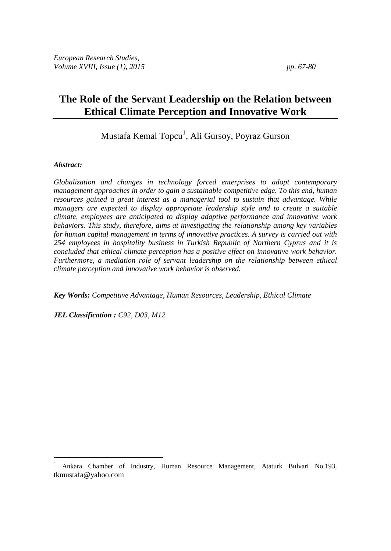# **The Role of the Servant Leadership on the Relation between Ethical Climate Perception and Innovative Work**

Mustafa Kemal Topcu<sup>1</sup>, Ali Gursoy, Poyraz Gurson

#### *Abstract:*

 $\overline{a}$ 

*Globalization and changes in technology forced enterprises to adopt contemporary management approaches in order to gain a sustainable competitive edge. To this end, human resources gained a great interest as a managerial tool to sustain that advantage. While managers are expected to display appropriate leadership style and to create a suitable climate, employees are anticipated to display adaptive performance and innovative work behaviors. This study, therefore, aims at investigating the relationship among key variables for human capital management in terms of innovative practices. A survey is carried out with 254 employees in hospitality business in Turkish Republic of Northern Cyprus and it is concluded that ethical climate perception has a positive effect on innovative work behavior. Furthermore, a mediation role of servant leadership on the relationship between ethical climate perception and innovative work behavior is observed.*

*Key Words: Competitive Advantage, Human Resources, Leadership, Ethical Climate*

*JEL Classification : C92, D03, M12*

<sup>1</sup> Ankara Chamber of Industry, Human Resource Management, Ataturk Bulvari No.193, tkmustafa@yahoo.com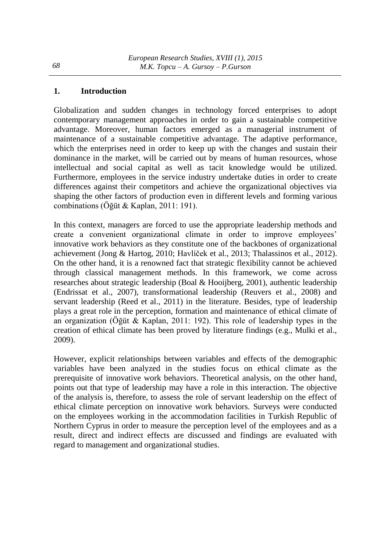## **1. Introduction**

Globalization and sudden changes in technology forced enterprises to adopt contemporary management approaches in order to gain a sustainable competitive advantage. Moreover, human factors emerged as a managerial instrument of maintenance of a sustainable competitive advantage. The adaptive performance, which the enterprises need in order to keep up with the changes and sustain their dominance in the market, will be carried out by means of human resources, whose intellectual and social capital as well as tacit knowledge would be utilized. Furthermore, employees in the service industry undertake duties in order to create differences against their competitors and achieve the organizational objectives via shaping the other factors of production even in different levels and forming various combinations (Öğüt & Kaplan, 2011: 191).

In this context, managers are forced to use the appropriate leadership methods and create a convenient organizational climate in order to improve employees' innovative work behaviors as they constitute one of the backbones of organizational achievement (Jong & Hartog, 2010; Havlíček et al., 2013; Thalassinos et al., 2012). On the other hand, it is a renowned fact that strategic flexibility cannot be achieved through classical management methods. In this framework, we come across researches about strategic leadership (Boal & Hooijberg, 2001), authentic leadership (Endrissat et al., 2007), transformational leadership (Reuvers et al., 2008) and servant leadership (Reed et al., 2011) in the literature. Besides, type of leadership plays a great role in the perception, formation and maintenance of ethical climate of an organization (Öğüt & Kaplan, 2011: 192). This role of leadership types in the creation of ethical climate has been proved by literature findings (e.g., Mulki et al., 2009).

However, explicit relationships between variables and effects of the demographic variables have been analyzed in the studies focus on ethical climate as the prerequisite of innovative work behaviors. Theoretical analysis, on the other hand, points out that type of leadership may have a role in this interaction. The objective of the analysis is, therefore, to assess the role of servant leadership on the effect of ethical climate perception on innovative work behaviors. Surveys were conducted on the employees working in the accommodation facilities in Turkish Republic of Northern Cyprus in order to measure the perception level of the employees and as a result, direct and indirect effects are discussed and findings are evaluated with regard to management and organizational studies.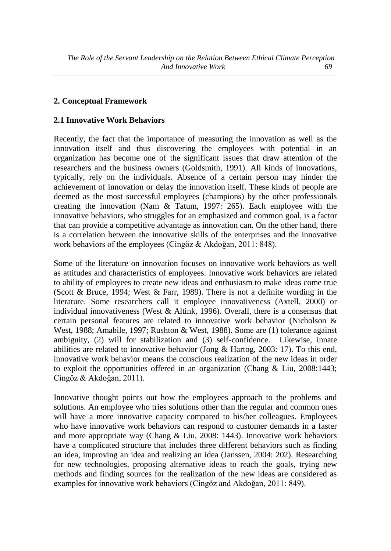# **2. Conceptual Framework**

## **2.1 Innovative Work Behaviors**

Recently, the fact that the importance of measuring the innovation as well as the innovation itself and thus discovering the employees with potential in an organization has become one of the significant issues that draw attention of the researchers and the business owners (Goldsmith, 1991). All kinds of innovations, typically, rely on the individuals. Absence of a certain person may hinder the achievement of innovation or delay the innovation itself. These kinds of people are deemed as the most successful employees (champions) by the other professionals creating the innovation (Nam & Tatum, 1997: 265). Each employee with the innovative behaviors, who struggles for an emphasized and common goal, is a factor that can provide a competitive advantage as innovation can. On the other hand, there is a correlation between the innovative skills of the enterprises and the innovative work behaviors of the employees (Cingöz & Akdoğan, 2011: 848).

Some of the literature on innovation focuses on innovative work behaviors as well as attitudes and characteristics of employees. Innovative work behaviors are related to ability of employees to create new ideas and enthusiasm to make ideas come true (Scott & Bruce, 1994; West & Farr, 1989). There is not a definite wording in the literature. Some researchers call it employee innovativeness (Axtell, 2000) or individual innovativeness (West & Altink, 1996). Overall, there is a consensus that certain personal features are related to innovative work behavior (Nicholson & West, 1988; Amabile, 1997; Rushton & West, 1988). Some are (1) tolerance against ambiguity, (2) will for stabilization and (3) self-confidence. Likewise, innate abilities are related to innovative behavior (Jong & Hartog, 2003: 17). To this end, innovative work behavior means the conscious realization of the new ideas in order to exploit the opportunities offered in an organization (Chang & Liu, 2008:1443; Cingöz & Akdoğan, 2011).

Innovative thought points out how the employees approach to the problems and solutions. An employee who tries solutions other than the regular and common ones will have a more innovative capacity compared to his/her colleagues. Employees who have innovative work behaviors can respond to customer demands in a faster and more appropriate way (Chang & Liu, 2008: 1443). Innovative work behaviors have a complicated structure that includes three different behaviors such as finding an idea, improving an idea and realizing an idea (Janssen, 2004: 202). Researching for new technologies, proposing alternative ideas to reach the goals, trying new methods and finding sources for the realization of the new ideas are considered as examples for innovative work behaviors (Cingöz and Akdoğan, 2011: 849).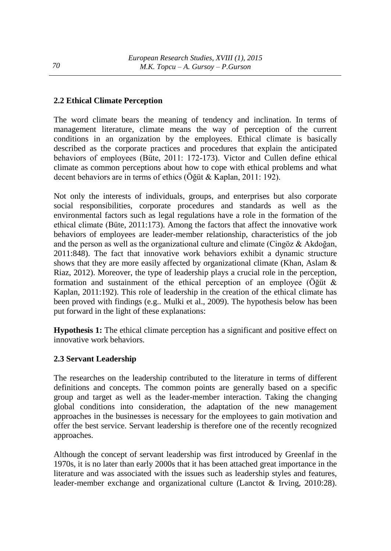# **2.2 Ethical Climate Perception**

The word climate bears the meaning of tendency and inclination. In terms of management literature, climate means the way of perception of the current conditions in an organization by the employees. Ethical climate is basically described as the corporate practices and procedures that explain the anticipated behaviors of employees (Büte, 2011: 172-173). Victor and Cullen define ethical climate as common perceptions about how to cope with ethical problems and what decent behaviors are in terms of ethics (Öğüt & Kaplan, 2011: 192).

Not only the interests of individuals, groups, and enterprises but also corporate social responsibilities, corporate procedures and standards as well as the environmental factors such as legal regulations have a role in the formation of the ethical climate (Büte, 2011:173). Among the factors that affect the innovative work behaviors of employees are leader-member relationship, characteristics of the job and the person as well as the organizational culture and climate (Cingöz & Akdoğan, 2011:848). The fact that innovative work behaviors exhibit a dynamic structure shows that they are more easily affected by organizational climate (Khan, Aslam & Riaz, 2012). Moreover, the type of leadership plays a crucial role in the perception, formation and sustainment of the ethical perception of an employee (Öğüt & Kaplan, 2011:192). This role of leadership in the creation of the ethical climate has been proved with findings (e.g.. Mulki et al., 2009). The hypothesis below has been put forward in the light of these explanations:

**Hypothesis 1:** The ethical climate perception has a significant and positive effect on innovative work behaviors.

#### **2.3 Servant Leadership**

The researches on the leadership contributed to the literature in terms of different definitions and concepts. The common points are generally based on a specific group and target as well as the leader-member interaction. Taking the changing global conditions into consideration, the adaptation of the new management approaches in the businesses is necessary for the employees to gain motivation and offer the best service. Servant leadership is therefore one of the recently recognized approaches.

Although the concept of servant leadership was first introduced by Greenlaf in the 1970s, it is no later than early 2000s that it has been attached great importance in the literature and was associated with the issues such as leadership styles and features, leader-member exchange and organizational culture (Lanctot & Irving, 2010:28).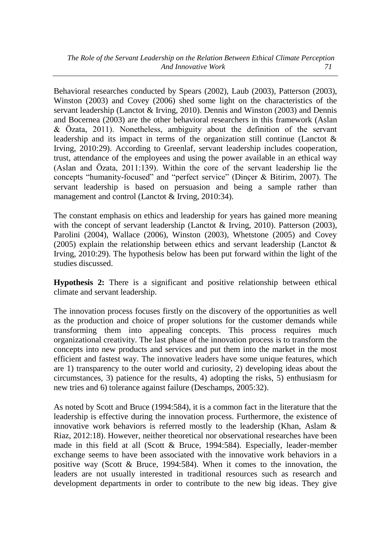Behavioral researches conducted by Spears (2002), Laub (2003), Patterson (2003), Winston (2003) and Covey (2006) shed some light on the characteristics of the servant leadership (Lanctot & Irving, 2010). Dennis and Winston (2003) and Dennis and Bocernea (2003) are the other behavioral researchers in this framework (Aslan & Özata, 2011). Nonetheless, ambiguity about the definition of the servant leadership and its impact in terms of the organization still continue (Lanctot & Irving, 2010:29). According to Greenlaf, servant leadership includes cooperation, trust, attendance of the employees and using the power available in an ethical way (Aslan and Özata, 2011:139). Within the core of the servant leadership lie the concepts "humanity-focused" and "perfect service" (Dinçer & Bitirim, 2007). The servant leadership is based on persuasion and being a sample rather than management and control (Lanctot & Irving, 2010:34).

The constant emphasis on ethics and leadership for years has gained more meaning with the concept of servant leadership (Lanctot & Irving, 2010). Patterson (2003), Parolini (2004), Wallace (2006), Winston (2003), Whetstone (2005) and Covey (2005) explain the relationship between ethics and servant leadership (Lanctot & Irving, 2010:29). The hypothesis below has been put forward within the light of the studies discussed.

**Hypothesis 2:** There is a significant and positive relationship between ethical climate and servant leadership.

The innovation process focuses firstly on the discovery of the opportunities as well as the production and choice of proper solutions for the customer demands while transforming them into appealing concepts. This process requires much organizational creativity. The last phase of the innovation process is to transform the concepts into new products and services and put them into the market in the most efficient and fastest way. The innovative leaders have some unique features, which are 1) transparency to the outer world and curiosity, 2) developing ideas about the circumstances, 3) patience for the results, 4) adopting the risks, 5) enthusiasm for new tries and 6) tolerance against failure (Deschamps, 2005:32).

As noted by Scott and Bruce (1994:584), it is a common fact in the literature that the leadership is effective during the innovation process. Furthermore, the existence of innovative work behaviors is referred mostly to the leadership (Khan, Aslam & Riaz, 2012:18). However, neither theoretical nor observational researches have been made in this field at all (Scott & Bruce, 1994:584). Especially, leader-member exchange seems to have been associated with the innovative work behaviors in a positive way (Scott & Bruce, 1994:584). When it comes to the innovation, the leaders are not usually interested in traditional resources such as research and development departments in order to contribute to the new big ideas. They give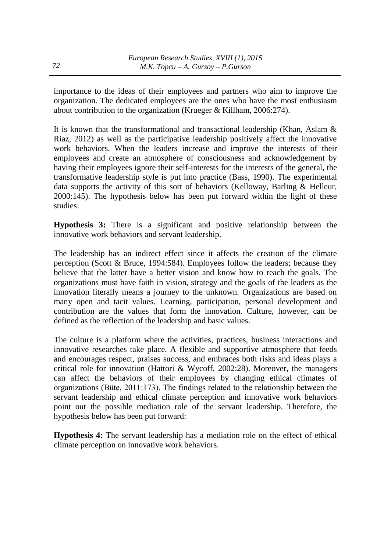importance to the ideas of their employees and partners who aim to improve the organization. The dedicated employees are the ones who have the most enthusiasm about contribution to the organization (Krueger & Killham, 2006:274).

It is known that the transformational and transactional leadership (Khan, Aslam & Riaz, 2012) as well as the participative leadership positively affect the innovative work behaviors. When the leaders increase and improve the interests of their employees and create an atmosphere of consciousness and acknowledgement by having their employees ignore their self-interests for the interests of the general, the transformative leadership style is put into practice (Bass, 1990). The experimental data supports the activity of this sort of behaviors (Kelloway, Barling & Helleur, 2000:145). The hypothesis below has been put forward within the light of these studies:

**Hypothesis 3:** There is a significant and positive relationship between the innovative work behaviors and servant leadership.

The leadership has an indirect effect since it affects the creation of the climate perception (Scott & Bruce, 1994:584). Employees follow the leaders; because they believe that the latter have a better vision and know how to reach the goals. The organizations must have faith in vision, strategy and the goals of the leaders as the innovation literally means a journey to the unknown. Organizations are based on many open and tacit values. Learning, participation, personal development and contribution are the values that form the innovation. Culture, however, can be defined as the reflection of the leadership and basic values.

The culture is a platform where the activities, practices, business interactions and innovative researches take place. A flexible and supportive atmosphere that feeds and encourages respect, praises success, and embraces both risks and ideas plays a critical role for innovation (Hattori & Wycoff, 2002:28). Moreover, the managers can affect the behaviors of their employees by changing ethical climates of organizations (Büte, 2011:173). The findings related to the relationship between the servant leadership and ethical climate perception and innovative work behaviors point out the possible mediation role of the servant leadership. Therefore, the hypothesis below has been put forward:

**Hypothesis 4:** The servant leadership has a mediation role on the effect of ethical climate perception on innovative work behaviors.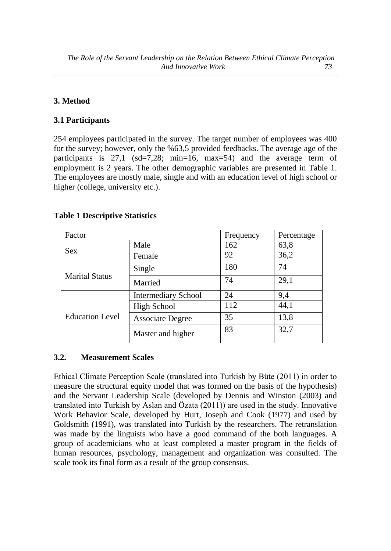# **3. Method**

## **3.1 Participants**

254 employees participated in the survey. The target number of employees was 400 for the survey; however, only the %63,5 provided feedbacks. The average age of the participants is 27,1 (sd=7,28; min=16, max=54) and the average term of employment is 2 years. The other demographic variables are presented in Table 1. The employees are mostly male, single and with an education level of high school or higher (college, university etc.).

# **Table 1 Descriptive Statistics**

| Factor                 |                            | Frequency | Percentage |  |
|------------------------|----------------------------|-----------|------------|--|
|                        | Male                       | 162       | 63,8       |  |
| Sex                    | Female                     | 92        | 36,2       |  |
|                        | Single                     | 180       | 74         |  |
| <b>Marital Status</b>  | Married                    | 74        | 29,1       |  |
| <b>Education Level</b> | <b>Intermediary School</b> | 24        | 9,4        |  |
|                        | <b>High School</b>         | 112       | 44,1       |  |
|                        | <b>Associate Degree</b>    | 35        | 13,8       |  |
|                        | Master and higher          | 83        | 32,7       |  |

#### **3.2. Measurement Scales**

Ethical Climate Perception Scale (translated into Turkish by Büte (2011) in order to measure the structural equity model that was formed on the basis of the hypothesis) and the Servant Leadership Scale (developed by Dennis and Winston (2003) and translated into Turkish by Aslan and Özata (2011)) are used in the study. Innovative Work Behavior Scale, developed by Hurt, Joseph and Cook (1977) and used by Goldsmith (1991), was translated into Turkish by the researchers. The retranslation was made by the linguists who have a good command of the both languages. A group of academicians who at least completed a master program in the fields of human resources, psychology, management and organization was consulted. The scale took its final form as a result of the group consensus.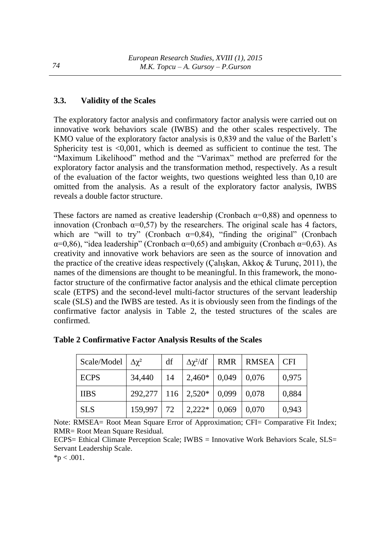# **3.3. Validity of the Scales**

The exploratory factor analysis and confirmatory factor analysis were carried out on innovative work behaviors scale (IWBS) and the other scales respectively. The KMO value of the exploratory factor analysis is 0,839 and the value of the Barlett's Sphericity test is <0,001, which is deemed as sufficient to continue the test. The "Maximum Likelihood" method and the "Varimax" method are preferred for the exploratory factor analysis and the transformation method, respectively. As a result of the evaluation of the factor weights, two questions weighted less than 0,10 are omitted from the analysis. As a result of the exploratory factor analysis, IWBS reveals a double factor structure.

These factors are named as creative leadership (Cronbach  $\alpha$ =0,88) and openness to innovation (Cronbach  $\alpha=0,57$ ) by the researchers. The original scale has 4 factors, which are "will to try" (Cronbach  $\alpha=0,84$ ), "finding the original" (Cronbach  $\alpha=0.86$ ), "idea leadership" (Cronbach  $\alpha=0.65$ ) and ambiguity (Cronbach  $\alpha=0.63$ ). As creativity and innovative work behaviors are seen as the source of innovation and the practice of the creative ideas respectively (Çalışkan, Akkoç & Turunç, 2011), the names of the dimensions are thought to be meaningful. In this framework, the monofactor structure of the confirmative factor analysis and the ethical climate perception scale (ETPS) and the second-level multi-factor structures of the servant leadership scale (SLS) and the IWBS are tested. As it is obviously seen from the findings of the confirmative factor analysis in Table 2, the tested structures of the scales are confirmed.

| Scale/Model $\Delta \chi^2$ |                                  | df  | $\Delta \chi^2/df$ | <b>RMR</b> | <b>RMSEA</b> | <b>CFI</b> |
|-----------------------------|----------------------------------|-----|--------------------|------------|--------------|------------|
| <b>ECPS</b>                 | 34,440                           | 14  | $2,460*$ 0.049     |            | 0,076        | 0,975      |
| <b>IIBS</b>                 | $292,277$   116   2,520*   0,099 |     |                    |            | 0,078        | 0,884      |
| <b>SLS</b>                  | 159,997                          | 172 | $2,222*$           | 0,069      | 0,070        | 0,943      |

**Table 2 Confirmative Factor Analysis Results of the Scales** 

Note: RMSEA= Root Mean Square Error of Approximation; CFI= Comparative Fit Index; RMR= Root Mean Square Residual.

ECPS= Ethical Climate Perception Scale; IWBS = Innovative Work Behaviors Scale, SLS= Servant Leadership Scale.

 $*p < .001$ .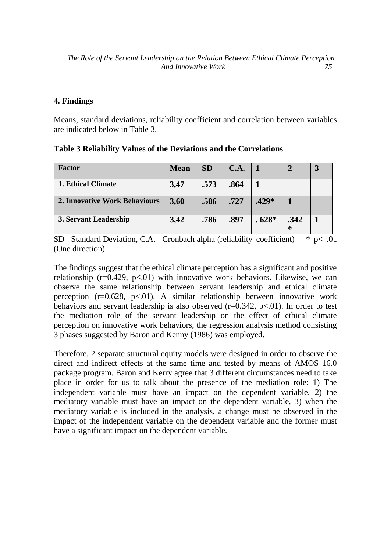#### **4. Findings**

Means, standard deviations, reliability coefficient and correlation between variables are indicated below in Table 3.

**Table 3 Reliability Values of the Deviations and the Correlations** 

| <b>Factor</b>                 | <b>Mean</b> | <b>SD</b> | C.A. |         |           |  |
|-------------------------------|-------------|-----------|------|---------|-----------|--|
| <b>1. Ethical Climate</b>     | 3,47        | .573      | .864 |         |           |  |
| 2. Innovative Work Behaviours | 3,60        | .506      | .727 | .429*   |           |  |
| 3. Servant Leadership         | 3,42        | .786      | .897 | $.628*$ | .342<br>∗ |  |

SD= Standard Deviation, C.A.= Cronbach alpha (reliability coefficient)  $* p < .01$ (One direction).

The findings suggest that the ethical climate perception has a significant and positive relationship ( $r=0.429$ ,  $p<01$ ) with innovative work behaviors. Likewise, we can observe the same relationship between servant leadership and ethical climate perception  $(r=0.628, p<0.01)$ . A similar relationship between innovative work behaviors and servant leadership is also observed  $(r=0.342, p<.01)$ . In order to test the mediation role of the servant leadership on the effect of ethical climate perception on innovative work behaviors, the regression analysis method consisting 3 phases suggested by Baron and Kenny (1986) was employed.

Therefore, 2 separate structural equity models were designed in order to observe the direct and indirect effects at the same time and tested by means of AMOS 16.0 package program. Baron and Kerry agree that 3 different circumstances need to take place in order for us to talk about the presence of the mediation role: 1) The independent variable must have an impact on the dependent variable, 2) the mediatory variable must have an impact on the dependent variable, 3) when the mediatory variable is included in the analysis, a change must be observed in the impact of the independent variable on the dependent variable and the former must have a significant impact on the dependent variable.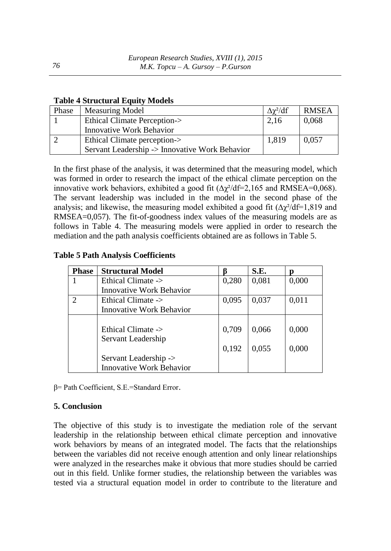#### **Table 4 Structural Equity Models**

| Phase | <b>Measuring Model</b>                         | $\Delta \chi^2 / df$ | <b>RMSEA</b> |
|-------|------------------------------------------------|----------------------|--------------|
|       | <b>Ethical Climate Perception-&gt;</b>         | 2,16                 | 0,068        |
|       | <b>Innovative Work Behavior</b>                |                      |              |
|       | Ethical Climate perception->                   | 1,819                | 0,057        |
|       | Servant Leadership -> Innovative Work Behavior |                      |              |

In the first phase of the analysis, it was determined that the measuring model, which was formed in order to research the impact of the ethical climate perception on the innovative work behaviors, exhibited a good fit  $(\Delta \chi^2/df=2,165$  and RMSEA=0,068). The servant leadership was included in the model in the second phase of the analysis; and likewise, the measuring model exhibited a good fit  $(\Delta \chi^2/df=1,819)$  and RMSEA=0,057). The fit-of-goodness index values of the measuring models are as follows in Table 4. The measuring models were applied in order to research the mediation and the path analysis coefficients obtained are as follows in Table 5.

#### **Table 5 Path Analysis Coefficients**

| <b>Phase</b>                | <b>Structural Model</b>                                  |                | S.E.           | n              |
|-----------------------------|----------------------------------------------------------|----------------|----------------|----------------|
|                             | Ethical Climate ->                                       | 0,280          | 0,081          | 0,000          |
|                             | <b>Innovative Work Behavior</b>                          |                |                |                |
| $\mathcal{D}_{\mathcal{L}}$ | Ethical Climate ->                                       | 0,095          | 0,037          | 0,011          |
|                             | <b>Innovative Work Behavior</b>                          |                |                |                |
|                             | Ethical Climate -><br>Servant Leadership                 | 0,709<br>0,192 | 0,066<br>0,055 | 0,000<br>0,000 |
|                             | Servant Leadership -><br><b>Innovative Work Behavior</b> |                |                |                |

β= Path Coefficient, S.E.=Standard Error.

#### **5. Conclusion**

The objective of this study is to investigate the mediation role of the servant leadership in the relationship between ethical climate perception and innovative work behaviors by means of an integrated model. The facts that the relationships between the variables did not receive enough attention and only linear relationships were analyzed in the researches make it obvious that more studies should be carried out in this field. Unlike former studies, the relationship between the variables was tested via a structural equation model in order to contribute to the literature and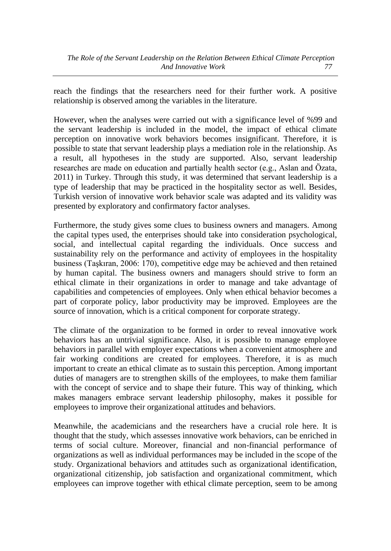reach the findings that the researchers need for their further work. A positive relationship is observed among the variables in the literature.

However, when the analyses were carried out with a significance level of %99 and the servant leadership is included in the model, the impact of ethical climate perception on innovative work behaviors becomes insignificant. Therefore, it is possible to state that servant leadership plays a mediation role in the relationship. As a result, all hypotheses in the study are supported. Also, servant leadership researches are made on education and partially health sector (e.g., Aslan and Özata, 2011) in Turkey. Through this study, it was determined that servant leadership is a type of leadership that may be practiced in the hospitality sector as well. Besides, Turkish version of innovative work behavior scale was adapted and its validity was presented by exploratory and confirmatory factor analyses.

Furthermore, the study gives some clues to business owners and managers. Among the capital types used, the enterprises should take into consideration psychological, social, and intellectual capital regarding the individuals. Once success and sustainability rely on the performance and activity of employees in the hospitality business (Taşkıran, 2006: 170), competitive edge may be achieved and then retained by human capital. The business owners and managers should strive to form an ethical climate in their organizations in order to manage and take advantage of capabilities and competencies of employees. Only when ethical behavior becomes a part of corporate policy, labor productivity may be improved. Employees are the source of innovation, which is a critical component for corporate strategy.

The climate of the organization to be formed in order to reveal innovative work behaviors has an untrivial significance. Also, it is possible to manage employee behaviors in parallel with employer expectations when a convenient atmosphere and fair working conditions are created for employees. Therefore, it is as much important to create an ethical climate as to sustain this perception. Among important duties of managers are to strengthen skills of the employees, to make them familiar with the concept of service and to shape their future. This way of thinking, which makes managers embrace servant leadership philosophy, makes it possible for employees to improve their organizational attitudes and behaviors.

Meanwhile, the academicians and the researchers have a crucial role here. It is thought that the study, which assesses innovative work behaviors, can be enriched in terms of social culture. Moreover, financial and non-financial performance of organizations as well as individual performances may be included in the scope of the study. Organizational behaviors and attitudes such as organizational identification, organizational citizenship, job satisfaction and organizational commitment, which employees can improve together with ethical climate perception, seem to be among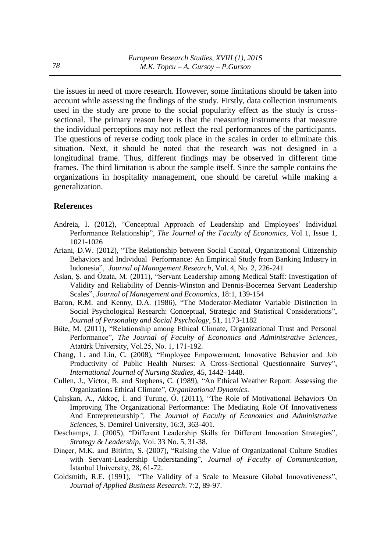the issues in need of more research. However, some limitations should be taken into account while assessing the findings of the study. Firstly, data collection instruments used in the study are prone to the social popularity effect as the study is crosssectional. The primary reason here is that the measuring instruments that measure the individual perceptions may not reflect the real performances of the participants. The questions of reverse coding took place in the scales in order to eliminate this situation. Next, it should be noted that the research was not designed in a longitudinal frame. Thus, different findings may be observed in different time frames. The third limitation is about the sample itself. Since the sample contains the organizations in hospitality management, one should be careful while making a generalization.

#### **References**

- Andreia, I. (2012), "Conceptual Approach of Leadership and Employees' Individual Performance Relationship", *[The Journal of the Faculty of Economics](http://ideas.repec.org/s/ora/journl.html)*, Vol 1, Issue 1, 1021-1026
- Ariani, D.W. (2012), "The Relationship between Social Capital, Organizational Citizenship Behaviors and Individual Performance: An Empirical Study from Banking Industry in Indonesia", *Journal of Management Research*, Vol. 4, No. 2, 226-241
- Aslan, Ş. and Özata, M. (2011), "Servant Leadership among Medical Staff: Investigation of Validity and Reliability of Dennis-Winston and Dennis-Bocernea Servant Leadership Scales", *Journal of Management and Economics*, 18:1, 139-154
- Baron, R.M. and Kenny, D.A. (1986), "The Moderator-Mediator Variable Distinction in Social Psychological Research: Conceptual, Strategic and Statistical Considerations", *Journal of Personality and Social Psychology*, 51, 1173-1182
- Büte, M. (2011), "Relationship among Ethical Climate, Organizational Trust and Personal Performance", *The Journal of Faculty of Economics and Administrative Sciences*, Atatürk University, Vol.25, No. 1, 171-192.
- Chang, L. and Liu, C. (2008), "Employee Empowerment, Innovative Behavior and Job Productivity of Public Health Nurses: A Cross-Sectional Questionnaire Survey", *International Journal of Nursing Studies*, 45, 1442–1448.
- Cullen, J., Victor, B. and Stephens, C. (1989), "An Ethical Weather Report: Assessing the Organizations Ethical Climate", *Organizational Dynamics*.
- Çalışkan, A., Akkoç, İ. and Turunç, Ö. (2011), "The Role of Motivational Behaviors On Improving The Organizational Performance: The Mediating Role Of Innovativeness And Entrepreneurship*", The Journal of Faculty of Economics and Administrative Sciences*, S. Demirel University, 16:3, 363-401.
- Deschamps, J. (2005), "Different Leadership Skills for Different Innovation Strategies", *Strategy & Leadership*, Vol. 33 No. 5, 31-38.
- Dinçer, M.K. and Bitirim, S. (2007), "Raising the Value of Organizational Culture Studies with Servant-Leadership Understanding", *Journal of Faculty of Communication*, İstanbul University, 28, 61-72.
- Goldsmith, R.E. (1991), "The Validity of a Scale to Measure Global Innovativeness", *Journal of Applied Business Research*. 7:2, 89-97.